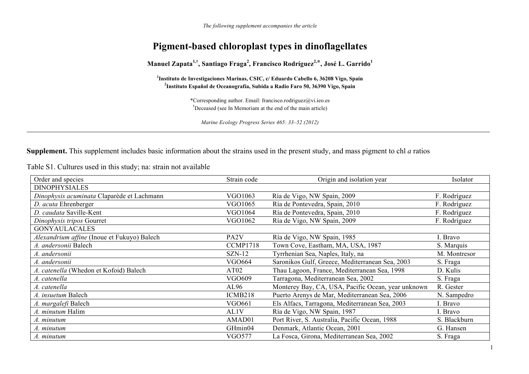*The following supplement accompanies the article* 

## **Pigment-based chloroplast types in dinoflagellates**

Manuel Zapata<sup>1,†</sup>, Santiago Fraga<sup>2</sup>, Francisco Rodríguez<sup>2,\*</sup>, José L. Garrido<sup>1</sup>

**1Instituto de Investigaciones Marinas, CSIC, c/ Eduardo Cabello 6, 36208 Vigo, Spain 2Instituto Español de Oceanografía, Subida a Radio Faro 50, 36390 Vigo, Spain** 

> \*Corresponding author. Email: francisco.rodriguez@vi.ieo.es †Deceased (see In Memoriam at the end of the main article)

*Marine Ecology Progress Series 465: 33–52 (2012)* 

**Supplement.** This supplement includes basic information about the strains used in the present study, and mass pigment to chl *a* ratios

Table S1. Cultures used in this study; na: strain not available

| Order and species                           | Strain code       | Origin and isolation year                          | Isolator     |
|---------------------------------------------|-------------------|----------------------------------------------------|--------------|
| <b>DINOPHYSIALES</b>                        |                   |                                                    |              |
| Dinophysis acuminata Claparède et Lachmann  | VGO1063           | Ría de Vigo, NW Spain, 2009                        | F. Rodríguez |
| D. acuta Ehrenberger                        | VGO1065           | Ría de Pontevedra, Spain, 2010                     | F. Rodríguez |
| D. caudata Saville-Kent                     | VGO1064           | Ría de Pontevedra, Spain, 2010                     | F. Rodríguez |
| Dinophysis tripos Gourret                   | VGO1062           | Ría de Vigo, NW Spain, 2009                        | F. Rodríguez |
| <b>GONYAULACALES</b>                        |                   |                                                    |              |
| Alexandrium affine (Inoue et Fukuyo) Balech | PA <sub>2</sub> V | Ría de Vigo, NW Spain, 1985                        | I. Bravo     |
| A. andersonii Balech                        | <b>CCMP1718</b>   | Town Cove, Eastham, MA, USA, 1987                  | S. Marquis   |
| A. andersonii                               | $SZN-12$          | Tyrrhenian Sea, Naples, Italy, na                  | M. Montresor |
| A. andersonii                               | <b>VGO664</b>     | Saronikos Gulf, Greece, Mediterranean Sea, 2003    | S. Fraga     |
| A. catenella (Whedon et Kofoid) Balech      | AT <sub>02</sub>  | Thau Lagoon, France, Mediterranean Sea, 1998       | D. Kulis     |
| A. catenella                                | VGO609            | Tarragona, Mediterranean Sea, 2002                 | S. Fraga     |
| A. catenella                                | AL96              | Monterey Bay, CA, USA, Pacific Ocean, year unknown | R. Gester    |
| A. insuetum Balech                          | ICMB218           | Puerto Arenys de Mar, Mediterranean Sea, 2006      | N. Sampedro  |
| A. margalefi Balech                         | VGO661            | Els Alfacs, Tarragona, Mediterranean Sea, 2003     | I. Bravo     |
| A. minutum Halim                            | AL1V              | Ría de Vigo, NW Spain, 1987                        | I. Bravo     |
| A. minutum                                  | AMAD01            | Port River, S. Australia, Pacific Ocean, 1988      | S. Blackburn |
| A. minutum                                  | GHmin04           | Denmark, Atlantic Ocean, 2001                      | G. Hansen    |
| A. minutum                                  | VGO577            | La Fosca, Girona, Mediterranean Sea, 2002          | S. Fraga     |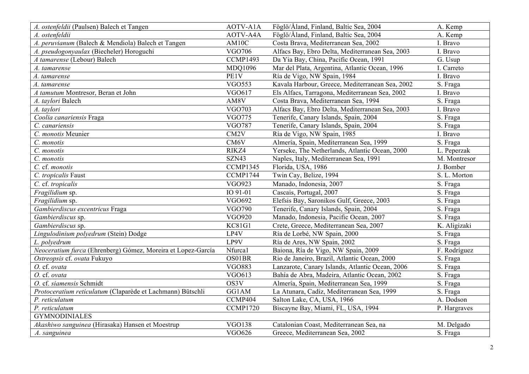| A. ostenfeldii (Paulsen) Balech et Tangen                    | AOTV-A1A          | Föglö/Åland, Finland, Baltic Sea, 2004          | A. Kemp      |
|--------------------------------------------------------------|-------------------|-------------------------------------------------|--------------|
| A. ostenfeldii                                               | AOTV-A4A          | Föglö/Åland, Finland, Baltic Sea, 2004          | A. Kemp      |
| A. peruvianum (Balech & Mendiola) Balech et Tangen           | AM10C             | Costa Brava, Mediterranean Sea, 2002            | I. Bravo     |
| A. pseudogonyaulax (Biecheler) Horoguchi                     | VGO706            | Alfacs Bay, Ebro Delta, Mediterranean Sea, 2003 | I. Bravo     |
| A tamarense (Lebour) Balech                                  | <b>CCMP1493</b>   | Da Yia Bay, China, Pacific Ocean, 1991          | G. Usup      |
| A. tamarense                                                 | MDQ1096           | Mar del Plata, Argentina, Atlantic Ocean, 1996  | I. Carreto   |
| A. tamarense                                                 | PE1V              | Ría de Vigo, NW Spain, 1984                     | I. Bravo     |
| A. tamarense                                                 | <b>VGO553</b>     | Kavala Harbour, Greece, Mediterranean Sea, 2002 | S. Fraga     |
| A tamutum Montresor, Beran et John                           | VGO617            | Els Alfacs, Tarragona, Mediterranean Sea, 2002  | I. Bravo     |
| A. taylori Balech                                            | AM8V              | Costa Brava, Mediterranean Sea, 1994            | S. Fraga     |
| A. taylori                                                   | <b>VGO703</b>     | Alfacs Bay, Ebro Delta, Mediterranean Sea, 2003 | I. Bravo     |
| Coolia canariensis Fraga                                     | <b>VGO775</b>     | Tenerife, Canary Islands, Spain, 2004           | S. Fraga     |
| C. canariensis                                               | <b>VGO787</b>     | Tenerife, Canary Islands, Spain, 2004           | S. Fraga     |
| C. monotis Meunier                                           | CM <sub>2</sub> V | Ría de Vigo, NW Spain, 1985                     | I. Bravo     |
| C. monotis                                                   | CM6V              | Almería, Spain, Mediterranean Sea, 1999         | S. Fraga     |
| C. monotis                                                   | RIKZ4             | Yerseke, The Netherlands, Atlantic Ocean, 2000  | L. Peperzak  |
| C. monotis                                                   | SZN43             | Naples, Italy, Mediterranean Sea, 1991          | M. Montresor |
| C. cf. monotis                                               | CCMP1345          | Florida, USA, 1986                              | J. Bomber    |
| C. tropicalis Faust                                          | <b>CCMP1744</b>   | Twin Cay, Belize, 1994                          | S. L. Morton |
| C. cf. tropicalis                                            | <b>VGO923</b>     | Manado, Indonesia, 2007                         | S. Fraga     |
| Fragilidium sp.                                              | IO 91-01          | Cascais, Portugal, 2007                         | S. Fraga     |
| Fragilidium sp.                                              | <b>VGO692</b>     | Elefsis Bay, Saronikos Gulf, Greece, 2003       | S. Fraga     |
| Gambierdiscus excentricus Fraga                              | VGO790            | Tenerife, Canary Islands, Spain, 2004           | S. Fraga     |
| Gambierdiscus sp.                                            | <b>VGO920</b>     | Manado, Indonesia, Pacific Ocean, 2007          | S. Fraga     |
| Gambierdiscus sp.                                            | <b>KC81G1</b>     | Crete, Greece, Mediterranean Sea, 2007          | K. Aligizaki |
| Lingulodinium polyedrum (Stein) Dodge                        | LP4V              | Ría de Lorbé, NW Spain, 2000                    | S. Fraga     |
| L. polyedrum                                                 | LP9V              | Ría de Ares, NW Spain, 2002                     | S. Fraga     |
| Neoceratium furca (Ehrenberg) Gómez, Moreira et Lopez-García | Nfurca1           | Baiona, Ría de Vigo, NW Spain, 2009             | F. Rodríguez |
| Ostreopsis cf. ovata Fukuyo                                  | OS01BR            | Rio de Janeiro, Brazil, Atlantic Ocean, 2000    | S. Fraga     |
| O. cf. ovata                                                 | <b>VGO883</b>     | Lanzarote, Canary Islands, Atlantic Ocean, 2006 | S. Fraga     |
| O. cf. ovata                                                 | VGO613            | Bahía de Abra, Madeira, Atlantic Ocean, 2002    | S. Fraga     |
| O. cf. siamensis Schmidt                                     | OS3V              | Almería, Spain, Mediterranean Sea, 1999         | S. Fraga     |
| Protoceratium reticulatum (Claparède et Lachmann) Bütschli   | GG1AM             | La Atunara, Cadiz, Mediterranean Sea, 1999      | S. Fraga     |
| P. reticulatum                                               | CCMP404           | Salton Lake, CA, USA, 1966                      | A. Dodson    |
| P. reticulatum                                               | CCMP1720          | Biscayne Bay, Miami, FL, USA, 1994              | P. Hargraves |
| <b>GYMNODINIALES</b>                                         |                   |                                                 |              |
| Akashiwo sanguinea (Hirasaka) Hansen et Moestrup             | <b>VGO138</b>     | Catalonian Coast, Mediterranean Sea, na         | M. Delgado   |
| A. sanguinea                                                 | <b>VGO626</b>     | Greece, Mediterranean Sea, 2002                 | S. Fraga     |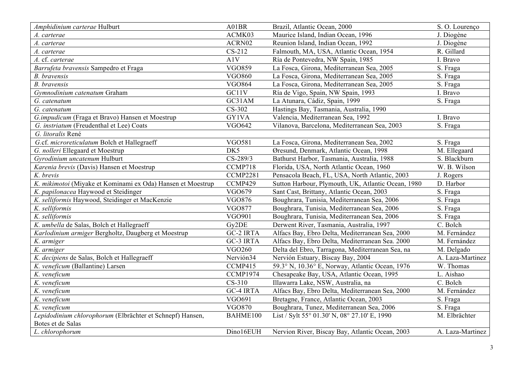| Amphidinium carterae Hulburt                                | A01BR              | Brazil, Atlantic Ocean, 2000                       | S.O. Lourenço               |
|-------------------------------------------------------------|--------------------|----------------------------------------------------|-----------------------------|
| A. carterae                                                 | ACMK03             | Maurice Island, Indian Ocean, 1996                 | J. Diogène                  |
| A. carterae                                                 | ACRN02             | Reunion Island, Indian Ocean, 1992                 | J. Diogène                  |
| A. carterae                                                 | CS-212             | Falmouth, MA, USA, Atlantic Ocean, 1954            | R. Gillard                  |
| A. cf. carterae                                             | A1V                | Ría de Pontevedra, NW Spain, 1985                  | I. Bravo                    |
| Barrufeta bravensis Sampedro et Fraga                       | <b>VGO859</b>      | La Fosca, Girona, Mediterranean Sea, 2005          | S. Fraga                    |
| <b>B.</b> bravensis                                         | <b>VGO860</b>      | La Fosca, Girona, Mediterranean Sea, 2005          | S. Fraga                    |
| <b>B.</b> bravensis                                         | <b>VGO864</b>      | La Fosca, Girona, Mediterranean Sea, 2005          | S. Fraga                    |
| Gymnodinium catenatum Graham                                | $GCI1\overline{V}$ | Ría de Vigo, Spain, NW Spain, 1993                 | I. Bravo                    |
| G. catenatum                                                | GC31AM             | La Atunara, Cádiz, Spain, 1999                     | S. Fraga                    |
| G. catenatum                                                | CS-302             | Hastings Bay, Tasmania, Australia, 1990            |                             |
| G.impudicum (Fraga et Bravo) Hansen et Moestrup             | GY1VA              | Valencia, Mediterranean Sea, 1992                  | I. Bravo                    |
| G. instriatum (Freudenthal et Lee) Coats                    | <b>VGO642</b>      | Vilanova, Barcelona, Mediterranean Sea, 2003       | S. Fraga                    |
| G. litoralis René                                           |                    |                                                    |                             |
| G.cf. microreticulatum Bolch et Hallegraeff                 | <b>VGO581</b>      | La Fosca, Girona, Mediterranean Sea, 2002          | S. Fraga                    |
| G. nolleri Ellegaard et Moestrup                            | DK5                | Øresund, Denmark, Atlantic Ocean, 1998             | M. Ellegaard                |
| Gyrodinium uncatenum Hulburt                                | CS-289/3           | Bathurst Harbor, Tasmania, Australia, 1988         | S. Blackburn                |
| Karenia brevis (Davis) Hansen et Moestrup                   | CCMP718            | Florida, USA, North Atlantic Ocean, 1960           | W. B. Wilson                |
| K. brevis                                                   | <b>CCMP2281</b>    | Pensacola Beach, FL, USA, North Atlantic, 2003     | J. Rogers                   |
| K. mikimotoi (Miyake et Kominami ex Oda) Hansen et Moestrup | CCMP429            | Sutton Harbour, Plymouth, UK, Atlantic Ocean, 1980 | D. Harbor                   |
| K. papilonacea Haywood et Steidinger                        | VGO679             | Sant Cast, Brittany, Atlantic Ocean, 2003          | S. Fraga                    |
| K. selliformis Haywood, Steidinger et MacKenzie             | VGO876             | Boughrara, Tunisia, Mediterranean Sea, 2006        | S. Fraga                    |
| K. selliformis                                              | <b>VGO877</b>      | Boughrara, Tunisia, Mediterranean Sea, 2006        | S. Fraga                    |
| K. selliformis                                              | VGO901             | Boughrara, Tunisia, Mediterranean Sea, 2006        | S. Fraga                    |
| K. umbella de Salas, Bolch et Hallegraeff                   | Gy2DE              | Derwent River, Tasmania, Australia, 1997           | C. Bolch                    |
| Karlodinium armiger Bergholtz, Daugberg et Moestrup         | <b>GC-2 IRTA</b>   | Alfacs Bay, Ebro Delta, Mediterranean Sea, 2000    | M. Fernández                |
| K. armiger                                                  | GC-3 IRTA          | Alfacs Bay, Ebro Delta, Mediterranean Sea. 2000    | M. Fernández                |
| K. armiger                                                  | <b>VGO260</b>      | Delta del Ebro, Tarragona, Mediterranean Sea, na   | M. Delgado                  |
| K. decipiens de Salas, Bolch et Hallegraeff                 | Nervión34          | Nervión Estuary, Biscay Bay, 2004                  | A. Laza-Martinez            |
| K. veneficum (Ballantine) Larsen                            | CCMP415            | 59.3° N, 10.36° E, Norway, Atlantic Ocean, 1976    | W. Thomas                   |
| K. veneficum                                                | CCMP1974           | Chesapeake Bay, USA, Atlantic Ocean, 1995          | L. Aishao                   |
| K. veneficum                                                | $CS-310$           | Illawarra Lake, NSW, Australia, na                 | C. Bolch                    |
| K. veneficum                                                | <b>GC-4 IRTA</b>   | Alfacs Bay, Ebro Delta, Mediterranean Sea, 2000    | M. Fernández                |
| K. veneficum                                                | VGO691             | Bretagne, France, Atlantic Ocean, 2003             | S. Fraga                    |
| K. veneficum                                                | <b>VGO870</b>      | Boughrara, Tunez, Mediterranean Sea, 2006          | S. Fraga                    |
| Lepidodinium chlorophorum (Elbrächter et Schnepf) Hansen,   | BAHME100           | List / Sylt 55° 01.30' N, 08° 27.10' E, 1990       | $\overline{M}$ . Elbrächter |
| Botes et de Salas                                           |                    |                                                    |                             |
| L. chlorophorum                                             | Dino16EUH          | Nervion River, Biscay Bay, Atlantic Ocean, 2003    | A. Laza-Martinez            |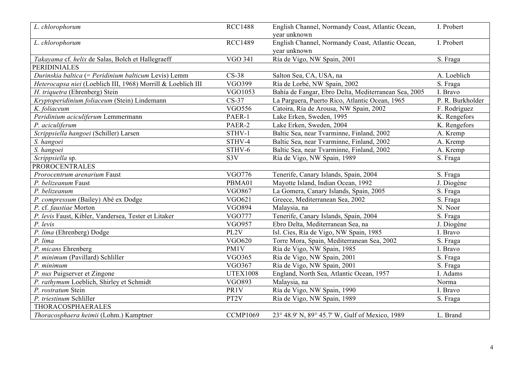| L. chlorophorum                                              | <b>RCC1488</b>    | English Channel, Normandy Coast, Atlantic Ocean,<br>year unknown | I. Probert       |
|--------------------------------------------------------------|-------------------|------------------------------------------------------------------|------------------|
| L. chlorophorum                                              | <b>RCC1489</b>    | English Channel, Normandy Coast, Atlantic Ocean,<br>year unknown | I. Probert       |
| Takayama cf. helix de Salas, Bolch et Hallegraeff            | <b>VGO 341</b>    | Ría de Vigo, NW Spain, 2001                                      | S. Fraga         |
| <b>PERIDINIALES</b>                                          |                   |                                                                  |                  |
| Durinskia baltica (= Peridinium balticum Levis) Lemm         | $CS-38$           | Salton Sea, CA, USA, na                                          | A. Loeblich      |
| Heterocapsa niei (Loeblich III, 1968) Morrill & Loeblich III | VGO399            | Ría de Lorbé, NW Spain, 2002                                     | S. Fraga         |
| H. triquetra (Ehrenberg) Stein                               | VGO1053           | Bahía de Fangar, Ebro Delta, Mediterranean Sea, 2005             | I. Bravo         |
| Kryptoperidinium foliaceum (Stein) Lindemann                 | $CS-37$           | La Parguera, Puerto Rico, Atlantic Ocean, 1965                   | P. R. Burkholder |
| K. foliaceum                                                 | <b>VGO556</b>     | Catoira, Ría de Arousa, NW Spain, 2002                           | F. Rodríguez     |
| Peridinium aciculiferum Lemmermann                           | PAER-1            | Lake Erken, Sweden, 1995                                         | K. Rengefors     |
| P. aciculiferum                                              | PAER-2            | Lake Erken, Sweden, 2004                                         | K. Rengefors     |
| Scrippsiella hangoei (Schiller) Larsen                       | STHV-1            | Baltic Sea, near Tvarminne, Finland, 2002                        | A. Kremp         |
| S. hangoei                                                   | STHV-4            | Baltic Sea, near Tvarminne, Finland, 2002                        | A. Kremp         |
| S. hangoei                                                   | STHV-6            | Baltic Sea, near Tvarminne, Finland, 2002                        | A. Kremp         |
| Scrippsiella sp.                                             | S <sub>3</sub> V  | Ría de Vigo, NW Spain, 1989                                      | S. Fraga         |
| <b>PROROCENTRALES</b>                                        |                   |                                                                  |                  |
| Prorocentrum arenarium Faust                                 | VGO776            | Tenerife, Canary Islands, Spain, 2004                            | S. Fraga         |
| P. belizeanum Faust                                          | PBMA01            | Mayotte Island, Indian Ocean, 1992                               | J. Diogène       |
| P. belizeanum                                                | <b>VGO867</b>     | La Gomera, Canary Islands, Spain, 2005                           | S. Fraga         |
| P. compressum (Bailey) Abé ex Dodge                          | VGO621            | Greece, Mediterranean Sea, 2002                                  | S. Fraga         |
| P. cf. faustiae Morton                                       | <b>VGO894</b>     | Malaysia, na                                                     | N. Noor          |
| P. levis Faust, Kibler, Vandersea, Tester et Litaker         | <b>VGO777</b>     | Tenerife, Canary Islands, Spain, 2004                            | S. Fraga         |
| P. levis                                                     | <b>VGO957</b>     | Ebro Delta, Mediterranean Sea, na                                | J. Diogène       |
| P. lima (Ehrenberg) Dodge                                    | PL2V              | Isl. Cies, Ría de Vigo, NW Spain, 1985                           | I. Bravo         |
| P. lima                                                      | <b>VGO620</b>     | Torre Mora, Spain, Mediterranean Sea, 2002                       | S. Fraga         |
| P. micans Ehrenberg                                          | PM1V              | Ría de Vigo, NW Spain, 1985                                      | I. Bravo         |
| P. minimum (Pavillard) Schliller                             | <b>VGO365</b>     | Ría de Vigo, NW Spain, 2001                                      | S. Fraga         |
| P. minimum                                                   | VGO367            | Ría de Vigo, NW Spain, 2001                                      | S. Fraga         |
| P. nux Puigserver et Zingone                                 | <b>UTEX1008</b>   | England, North Sea, Atlantic Ocean, 1957                         | I. Adams         |
| P. rathymum Loeblich, Shirley et Schmidt                     | VGO893            | Malaysia, na                                                     | Norma            |
| P. rostratum Stein                                           | PR1V              | Ría de Vigo, NW Spain, 1990                                      | I. Bravo         |
| P. triestinum Schliller                                      | PT <sub>2</sub> V | Ría de Vigo, NW Spain, 1989                                      | S. Fraga         |
| THORACOSPHAERALES                                            |                   |                                                                  |                  |
| Thoracosphaera heimii (Lohm.) Kamptner                       | <b>CCMP1069</b>   | 23° 48.9' N, 89° 45.7' W, Gulf of Mexico, 1989                   | L. Brand         |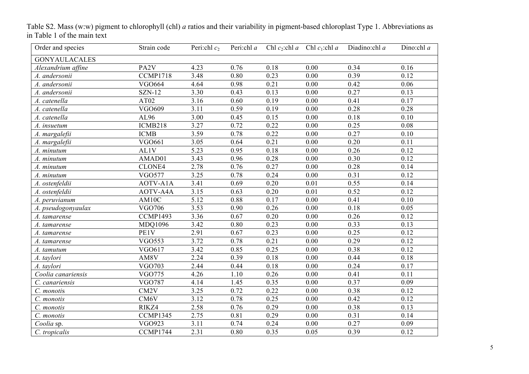| Order and species    | Strain code       | Peri:chl $c_2$ |                   |      | Peri:chl a Chl $c_2$ :chl a Chl $c_1$ :chl a | Diadino:chl a | Dino:chl $a$      |
|----------------------|-------------------|----------------|-------------------|------|----------------------------------------------|---------------|-------------------|
| <b>GONYAULACALES</b> |                   |                |                   |      |                                              |               |                   |
| Alexandrium affine   | PA <sub>2</sub> V | 4.23           | 0.76              | 0.18 | 0.00                                         | 0.34          | 0.16              |
| A. andersonii        | <b>CCMP1718</b>   | 3.48           | 0.80              | 0.23 | 0.00                                         | 0.39          | 0.12              |
| A. andersonii        | <b>VGO664</b>     | 4.64           | 0.98              | 0.21 | 0.00                                         | 0.42          | 0.06              |
| A. andersonii        | <b>SZN-12</b>     | 3.30           | 0.43              | 0.13 | 0.00                                         | 0.27          | 0.13              |
| A. catenella         | AT <sub>02</sub>  | 3.16           | 0.60              | 0.19 | 0.00                                         | 0.41          | 0.17              |
| A. catenella         | VGO609            | 3.11           | 0.59              | 0.19 | 0.00                                         | 0.28          | 0.28              |
| A. catenella         | AL96              | 3.00           | 0.45              | 0.15 | 0.00                                         | 0.18          | 0.10              |
| A. insuetum          | ICMB218           | 3.27           | 0.72              | 0.22 | 0.00                                         | 0.25          | $0.08\,$          |
| A. margalefii        | <b>ICMB</b>       | 3.59           | 0.78              | 0.22 | 0.00                                         | 0.27          | 0.10              |
| A. margalefii        | VGO661            | 3.05           | 0.64              | 0.21 | 0.00                                         | 0.20          | 0.11              |
| A. minutum           | AL1V              | 5.23           | 0.95              | 0.18 | 0.00                                         | 0.26          | 0.12              |
| A. minutum           | AMAD01            | 3.43           | 0.96              | 0.28 | 0.00                                         | 0.30          | 0.12              |
| A. minutum           | CLONE4            | 2.78           | 0.76              | 0.27 | 0.00                                         | 0.28          | 0.14              |
| A. minutum           | <b>VGO577</b>     | 3.25           | 0.78              | 0.24 | 0.00                                         | 0.31          | 0.12              |
| A. ostenfeldii       | AOTV-A1A          | 3.41           | 0.69              | 0.20 | 0.01                                         | 0.55          | 0.14              |
| A. ostenfeldii       | AOTV-A4A          | 3.15           | 0.63              | 0.20 | 0.01                                         | 0.52          | 0.12              |
| A. peruvianum        | AM10C             | 5.12           | 0.88              | 0.17 | 0.00                                         | 0.41          | $0.10\,$          |
| A. pseudogonyaulax   | <b>VGO706</b>     | 3.53           | 0.90              | 0.26 | 0.00                                         | 0.18          | 0.05              |
| A. tamarense         | CCMP1493          | 3.36           | 0.67              | 0.20 | 0.00                                         | 0.26          | 0.12              |
| A. tamarense         | <b>MDQ1096</b>    | 3.42           | 0.80              | 0.23 | 0.00                                         | 0.33          | 0.13              |
| A. tamarense         | PE1V              | 2.91           | 0.67              | 0.23 | 0.00                                         | 0.25          | 0.12              |
| A. tamarense         | <b>VGO553</b>     | 3.72           | 0.78              | 0.21 | 0.00                                         | 0.29          | 0.12              |
| A. tamutum           | VGO617            | 3.42           | 0.85              | 0.25 | 0.00                                         | 0.38          | 0.12              |
| A. taylori           | AM8V              | 2.24           | 0.39              | 0.18 | 0.00                                         | 0.44          | 0.18              |
| A. taylori           | <b>VGO703</b>     | 2.44           | 0.44              | 0.18 | 0.00                                         | 0.24          | 0.17              |
| Coolia canariensis   | <b>VGO775</b>     | 4.26           | $\overline{1}.10$ | 0.26 | $\overline{0.00}$                            | 0.41          | $\overline{0.11}$ |
| C. canariensis       | <b>VGO787</b>     | 4.14           | 1.45              | 0.35 | 0.00                                         | 0.37          | 0.09              |
| C. monotis           | CM <sub>2</sub> V | 3.25           | 0.72              | 0.22 | 0.00                                         | 0.38          | 0.12              |
| C. monotis           | CM6V              | 3.12           | 0.78              | 0.25 | 0.00                                         | 0.42          | 0.12              |
| C. monotis           | RIKZ4             | 2.58           | 0.76              | 0.29 | 0.00                                         | 0.38          | 0.13              |
| C. monotis           | CCMP1345          | 2.75           | 0.81              | 0.29 | 0.00                                         | 0.31          | 0.14              |
| Coolia sp.           | VGO923            | 3.11           | 0.74              | 0.24 | 0.00                                         | 0.27          | 0.09              |
| C. tropicalis        | CCMP1744          | 2.31           | 0.80              | 0.35 | 0.05                                         | 0.39          | 0.12              |

Table S2. Mass (w:w) pigment to chlorophyll (chl) *a* ratios and their variability in pigment-based chloroplast Type 1. Abbreviations as in Table 1 of the main text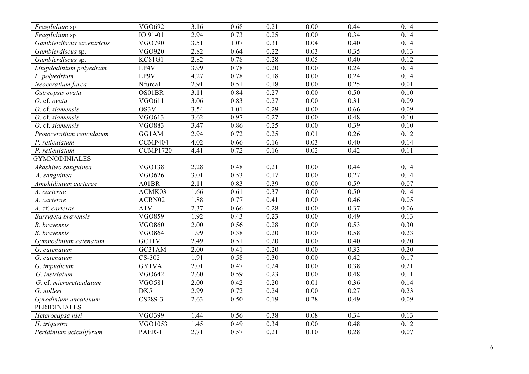| Fragilidium sp.                | VGO692                | 3.16 | 0.68 | 0.21 | 0.00              | 0.44 | 0.14              |
|--------------------------------|-----------------------|------|------|------|-------------------|------|-------------------|
| Fragilidium sp.                | IO 91-01              | 2.94 | 0.73 | 0.25 | 0.00              | 0.34 | 0.14              |
| Gambierdiscus excentricus      | <b>VGO790</b>         | 3.51 | 1.07 | 0.31 | 0.04              | 0.40 | 0.14              |
| Gambierdiscus sp.              | <b>VGO920</b>         | 2.82 | 0.64 | 0.22 | 0.03              | 0.35 | 0.13              |
| Gambierdiscus sp.              | <b>KC81G1</b>         | 2.82 | 0.78 | 0.28 | 0.05              | 0.40 | 0.12              |
| Lingulodinium polyedrum        | LP4V                  | 3.99 | 0.78 | 0.20 | 0.00              | 0.24 | 0.14              |
| L. polyedrium                  | LP9V                  | 4.27 | 0.78 | 0.18 | 0.00              | 0.24 | 0.14              |
| Neoceratium furca              | Nfurca1               | 2.91 | 0.51 | 0.18 | $\overline{0.00}$ | 0.25 | $\overline{0.01}$ |
| Ostreopsis ovata               | OS01BR                | 3.11 | 0.84 | 0.27 | 0.00              | 0.50 | 0.10              |
| O. cf. ovata                   | VGO611                | 3.06 | 0.83 | 0.27 | 0.00              | 0.31 | 0.09              |
| $\overline{O}$ . cf. siamensis | OS3V                  | 3.54 | 1.01 | 0.29 | 0.00              | 0.66 | 0.09              |
| O. cf. siamensis               | VGO613                | 3.62 | 0.97 | 0.27 | $\overline{0.00}$ | 0.48 | 0.10              |
| O. cf. siamensis               | <b>VGO883</b>         | 3.47 | 0.86 | 0.25 | 0.00              | 0.39 | 0.10              |
| Protoceratium reticulatum      | GG1AM                 | 2.94 | 0.72 | 0.25 | 0.01              | 0.26 | 0.12              |
| P. reticulatum                 | CCMP404               | 4.02 | 0.66 | 0.16 | 0.03              | 0.40 | 0.14              |
| P. reticulatum                 | CCMP1720              | 4.41 | 0.72 | 0.16 | 0.02              | 0.42 | 0.11              |
| <b>GYMNODINIALES</b>           |                       |      |      |      |                   |      |                   |
| Akashiwo sanguinea             | <b>VGO138</b>         | 2.28 | 0.48 | 0.21 | 0.00              | 0.44 | 0.14              |
| A. sanguinea                   | VGO626                | 3.01 | 0.53 | 0.17 | 0.00              | 0.27 | 0.14              |
| Amphidinium carterae           | A01BR                 | 2.11 | 0.83 | 0.39 | 0.00              | 0.59 | 0.07              |
| A. carterae                    | ACMK03                | 1.66 | 0.61 | 0.37 | 0.00              | 0.50 | 0.14              |
| A. carterae                    | $\mbox{ACRN}02$       | 1.88 | 0.77 | 0.41 | 0.00              | 0.46 | 0.05              |
| A. cf. carterae                | A1V                   | 2.37 | 0.66 | 0.28 | 0.00              | 0.37 | 0.06              |
| Barrufeta bravensis            | <b>VGO859</b>         | 1.92 | 0.43 | 0.23 | 0.00              | 0.49 | 0.13              |
| <b>B.</b> bravensis            | <b>VGO860</b>         | 2.00 | 0.56 | 0.28 | 0.00              | 0.53 | 0.30              |
| <b>B.</b> bravensis            | <b>VGO864</b>         | 1.99 | 0.38 | 0.20 | 0.00              | 0.58 | 0.23              |
| Gymnodinium catenatum          | GC11V                 | 2.49 | 0.51 | 0.20 | 0.00              | 0.40 | 0.20              |
| G. catenatum                   | GC31AM                | 2.00 | 0.41 | 0.20 | 0.00              | 0.33 | 0.20              |
| G. catenatum                   | CS-302                | 1.91 | 0.58 | 0.30 | 0.00              | 0.42 | 0.17              |
| G. impudicum                   | <b>GY1VA</b>          | 2.01 | 0.47 | 0.24 | 0.00              | 0.38 | 0.21              |
| G. instriatum                  | <b>VGO642</b>         | 2.60 | 0.59 | 0.23 | 0.00              | 0.48 | 0.11              |
| G. cf. microreticulatum        | <b>VGO581</b>         | 2.00 | 0.42 | 0.20 | 0.01              | 0.36 | 0.14              |
| G. nolleri                     | DK5                   | 2.99 | 0.72 | 0.24 | 0.00              | 0.27 | 0.23              |
| Gyrodinium uncatenum           | $\overline{CS}$ 289-3 | 2.63 | 0.50 | 0.19 | 0.28              | 0.49 | 0.09              |
| <b>PERIDINIALES</b>            |                       |      |      |      |                   |      |                   |
| Heterocapsa niei               | VGO399                | 1.44 | 0.56 | 0.38 | 0.08              | 0.34 | 0.13              |
| H. triquetra                   | VGO1053               | 1.45 | 0.49 | 0.34 | 0.00              | 0.48 | 0.12              |
| Peridinium aciculiferum        | PAER-1                | 2.71 | 0.57 | 0.21 | 0.10              | 0.28 | 0.07              |
|                                |                       |      |      |      |                   |      |                   |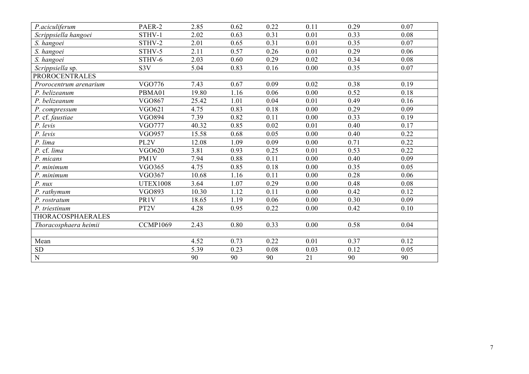| P.aciculiferum           | PAER-2            | 2.85  | 0.62 | 0.22 | 0.11 | 0.29 | 0.07 |
|--------------------------|-------------------|-------|------|------|------|------|------|
| Scrippsiella hangoei     | STHV-1            | 2.02  | 0.63 | 0.31 | 0.01 | 0.33 | 0.08 |
| S. hangoei               | STHV-2            | 2.01  | 0.65 | 0.31 | 0.01 | 0.35 | 0.07 |
| S. hangoei               | STHV-5            | 2.11  | 0.57 | 0.26 | 0.01 | 0.29 | 0.06 |
| S. hangoei               | STHV-6            | 2.03  | 0.60 | 0.29 | 0.02 | 0.34 | 0.08 |
| Scrippsiella sp.         | S3V               | 5.04  | 0.83 | 0.16 | 0.00 | 0.35 | 0.07 |
| <b>PROROCENTRALES</b>    |                   |       |      |      |      |      |      |
| Prorocentrum arenarium   | VGO776            | 7.43  | 0.67 | 0.09 | 0.02 | 0.38 | 0.19 |
| P. belizeanum            | PBMA01            | 19.80 | 1.16 | 0.06 | 0.00 | 0.52 | 0.18 |
| P. belizeanum            | <b>VGO867</b>     | 25.42 | 1.01 | 0.04 | 0.01 | 0.49 | 0.16 |
| P. compressum            | VGO621            | 4.75  | 0.83 | 0.18 | 0.00 | 0.29 | 0.09 |
| P. cf. faustiae          | <b>VGO894</b>     | 7.39  | 0.82 | 0.11 | 0.00 | 0.33 | 0.19 |
| P. levis                 | <b>VGO777</b>     | 40.32 | 0.85 | 0.02 | 0.01 | 0.40 | 0.17 |
| P. levis                 | <b>VGO957</b>     | 15.58 | 0.68 | 0.05 | 0.00 | 0.40 | 0.22 |
| P. lima                  | PL2V              | 12.08 | 1.09 | 0.09 | 0.00 | 0.71 | 0.22 |
| P. cf. lima              | <b>VGO620</b>     | 3.81  | 0.93 | 0.25 | 0.01 | 0.53 | 0.22 |
| P. micans                | PM1V              | 7.94  | 0.88 | 0.11 | 0.00 | 0.40 | 0.09 |
| P. minimum               | <b>VGO365</b>     | 4.75  | 0.85 | 0.18 | 0.00 | 0.35 | 0.05 |
| P. minimum               | <b>VGO367</b>     | 10.68 | 1.16 | 0.11 | 0.00 | 0.28 | 0.06 |
| $P.$ $\n  nux$           | <b>UTEX1008</b>   | 3.64  | 1.07 | 0.29 | 0.00 | 0.48 | 0.08 |
| P. rathymum              | <b>VGO893</b>     | 10.30 | 1.12 | 0.11 | 0.00 | 0.42 | 0.12 |
| P. rostratum             | PR1V              | 18.65 | 1.19 | 0.06 | 0.00 | 0.30 | 0.09 |
| P. triestinum            | PT <sub>2</sub> V | 4.28  | 0.95 | 0.22 | 0.00 | 0.42 | 0.10 |
| <b>THORACOSPHAERALES</b> |                   |       |      |      |      |      |      |
| Thoracosphaera heimii    | <b>CCMP1069</b>   | 2.43  | 0.80 | 0.33 | 0.00 | 0.58 | 0.04 |
|                          |                   |       |      |      |      |      |      |
| Mean                     |                   | 4.52  | 0.73 | 0.22 | 0.01 | 0.37 | 0.12 |
| ${\rm SD}$               |                   | 5.39  | 0.23 | 0.08 | 0.03 | 0.12 | 0.05 |
| ${\bf N}$                |                   | 90    | 90   | 90   | 21   | 90   | 90   |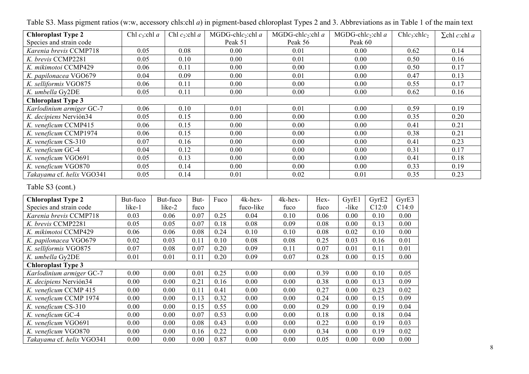| <b>Chloroplast Type 2</b> | Chl $c_3$ :chl a | Chl $c_2$ :chl a | $MGDG$ -chl $c_2$ :chl a | $MGDG$ -chl $c_2$ :chl a | $MGDG$ -chl $c_2$ :chl a | $Chlc_3:chlc_2$ | $\Sigma$ chl c:chl a |
|---------------------------|------------------|------------------|--------------------------|--------------------------|--------------------------|-----------------|----------------------|
| Species and strain code   |                  |                  | Peak 51                  | Peak 56                  | Peak 60                  |                 |                      |
| Karenia brevis CCMP718    | 0.05             | 0.08             | 0.00                     | 0.01                     | 0.00                     | 0.62            | 0.14                 |
| K. brevis CCMP2281        | 0.05             | 0.10             | 0.00                     | 0.01                     | 0.00                     | 0.50            | 0.16                 |
| K. mikimotoi CCMP429      | 0.06             | 0.11             | 0.00                     | 0.00                     | 0.00                     | 0.50            | 0.17                 |
| K. papilonacea VGO679     | 0.04             | 0.09             | 0.00                     | 0.01                     | 0.00                     | 0.47            | 0.13                 |
| K. selliformis VGO875     | 0.06             | 0.11             | 0.00                     | 0.00                     | 0.00                     | 0.55            | 0.17                 |
| K. umbella Gy2DE          | 0.05             | 0.11             | 0.00                     | 0.00                     | 0.00                     | 0.62            | 0.16                 |
| <b>Chloroplast Type 3</b> |                  |                  |                          |                          |                          |                 |                      |
| Karlodinium armiger GC-7  | 0.06             | 0.10             | 0.01                     | 0.01                     | 0.00                     | 0.59            | 0.19                 |
| K. decipiens Nervión34    | 0.05             | 0.15             | 0.00                     | 0.00                     | 0.00                     | 0.35            | 0.20                 |
| K. veneficum CCMP415      | 0.06             | 0.15             | 0.00                     | 0.00                     | 0.00                     | 0.41            | 0.21                 |
| K. veneficum CCMP1974     | 0.06             | 0.15             | 0.00                     | 0.00                     | 0.00                     | 0.38            | 0.21                 |
| K. veneficum CS-310       | 0.07             | 0.16             | 0.00                     | 0.00                     | 0.00                     | 0.41            | 0.23                 |
| K. veneficum GC-4         | 0.04             | 0.12             | 0.00                     | 0.00                     | 0.00                     | 0.31            | 0.17                 |
| K. veneficum VGO691       | 0.05             | 0.13             | 0.00                     | 0.00                     | 0.00                     | 0.41            | 0.18                 |
| K. veneficum VGO870       | 0.05             | 0.14             | 0.00                     | 0.00                     | 0.00                     | 0.33            | 0.19                 |
| Takayama cf. helix VGO341 | 0.05             | 0.14             | 0.01                     | 0.02                     | 0.01                     | 0.35            | 0.23                 |

Table S3. Mass pigment ratios (w:w, accessory chls:chl *a*) in pigment-based chloroplast Types 2 and 3. Abbreviations as in Table 1 of the main text

## Table S3 (cont.)

| <b>Chloroplast Type 2</b> | But-fuco | But-fuco | But- | Fuco | 4k-hex-   | 4k-hex- | Hex- | GyrE1 | GyrE2 | GyrE3 |
|---------------------------|----------|----------|------|------|-----------|---------|------|-------|-------|-------|
| Species and strain code   | like-1   | like-2   | fuco |      | fuco-like | fuco    | fuco | -like | C12:0 | C14:0 |
| Karenia brevis CCMP718    | 0.03     | 0.06     | 0.07 | 0.25 | 0.04      | 0.10    | 0.06 | 0.00  | 0.10  | 0.00  |
| K. brevis CCMP2281        | 0.05     | 0.05     | 0.07 | 0.18 | 0.08      | 0.09    | 0.08 | 0.00  | 0.13  | 0.00  |
| K. mikimotoi CCMP429      | 0.06     | 0.06     | 0.08 | 0.24 | 0.10      | 0.10    | 0.08 | 0.02  | 0.10  | 0.00  |
| K. papilonacea VGO679     | 0.02     | 0.03     | 0.11 | 0.10 | 0.08      | 0.08    | 0.25 | 0.03  | 0.16  | 0.01  |
| K. selliformis VGO875     | 0.07     | 0.08     | 0.07 | 0.20 | 0.09      | 0.11    | 0.07 | 0.01  | 0.11  | 0.01  |
| K. umbella Gy2DE          | 0.01     | 0.01     | 0.11 | 0.20 | 0.09      | 0.07    | 0.28 | 0.00  | 0.15  | 0.00  |
| <b>Chloroplast Type 3</b> |          |          |      |      |           |         |      |       |       |       |
| Karlodinium armiger GC-7  | 0.00     | 0.00     | 0.01 | 0.25 | 0.00      | 0.00    | 0.39 | 0.00  | 0.10  | 0.05  |
| K. decipiens Nervión34    | 0.00     | 0.00     | 0.21 | 0.16 | 0.00      | 0.00    | 0.38 | 0.00  | 0.13  | 0.09  |
| K. veneficum CCMP 415     | 0.00     | 0.00     | 0.11 | 0.41 | 0.00      | 0.00    | 0.27 | 0.00  | 0.23  | 0.02  |
| K. veneficum CCMP 1974    | 0.00     | 0.00     | 0.13 | 0.32 | 0.00      | 0.00    | 0.24 | 0.00  | 0.15  | 0.09  |
| K. veneficum CS-310       | 0.00     | 0.00     | 0.15 | 0.55 | 0.00      | 0.00    | 0.29 | 0.00  | 0.19  | 0.04  |
| K. veneficum GC-4         | 0.00     | 0.00     | 0.07 | 0.53 | 0.00      | 0.00    | 0.18 | 0.00  | 0.18  | 0.04  |
| K. veneficum VGO691       | 0.00     | 0.00     | 0.08 | 0.43 | 0.00      | 0.00    | 0.22 | 0.00  | 0.19  | 0.03  |
| K. veneficum VGO870       | 0.00     | 0.00     | 0.16 | 0.22 | 0.00      | 0.00    | 0.34 | 0.00  | 0.19  | 0.02  |
| Takayama cf. helix VGO341 | 0.00     | 0.00     | 0.00 | 0.87 | 0.00      | 0.00    | 0.05 | 0.00  | 0.00  | 0.00  |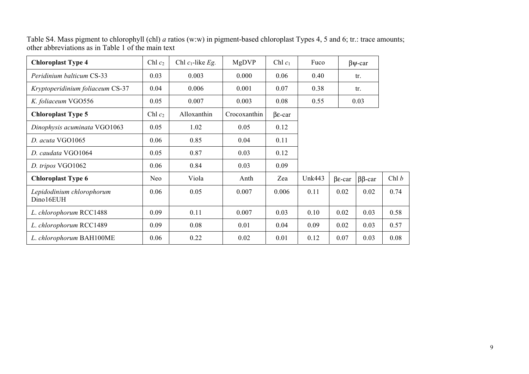| Chl $c_2$ | Chl $c_1$ -like Eg. | MgDVP        | Chl $c_1$             | Fuco          |                       |              |                                         |
|-----------|---------------------|--------------|-----------------------|---------------|-----------------------|--------------|-----------------------------------------|
| 0.03      | 0.003               | 0.000        | 0.06                  | 0.40          |                       |              |                                         |
| 0.04      | 0.006               | 0.001        | 0.07                  | 0.38          |                       |              |                                         |
| 0.05      | 0.007               | 0.003        | 0.08                  | 0.55          |                       |              |                                         |
| Chl $c_2$ | Alloxanthin         | Crocoxanthin | $\beta$ <i>E</i> -car |               |                       |              |                                         |
| 0.05      | 1.02                | 0.05         | 0.12                  |               |                       |              |                                         |
| 0.06      | 0.85                | 0.04         | 0.11                  |               |                       |              |                                         |
| 0.05      | 0.87                | 0.03         | 0.12                  |               |                       |              |                                         |
| 0.06      | 0.84                | 0.03         | 0.09                  |               |                       |              |                                         |
| Neo       | Viola               | Anth         | Zea                   | <b>Unk443</b> | $\beta$ <i>E</i> -car | $\beta$ -car | Chl $b$                                 |
| 0.06      | 0.05                | 0.007        | 0.006                 | 0.11          | 0.02                  | 0.02         | 0.74                                    |
| 0.09      | 0.11                | 0.007        | 0.03                  | 0.10          | 0.02                  | 0.03         | 0.58                                    |
| 0.09      | 0.08                | 0.01         | 0.04                  | 0.09          | 0.02                  | 0.03         | 0.57                                    |
| 0.06      | 0.22                | 0.02         | 0.01                  | 0.12          | 0.07                  | 0.03         | 0.08                                    |
|           |                     |              |                       |               |                       |              | $\beta \psi$ -car<br>tr.<br>tr.<br>0.03 |

Table S4. Mass pigment to chlorophyll (chl) *a* ratios (w:w) in pigment-based chloroplast Types 4, 5 and 6; tr.: trace amounts; other abbreviations as in Table 1 of the main text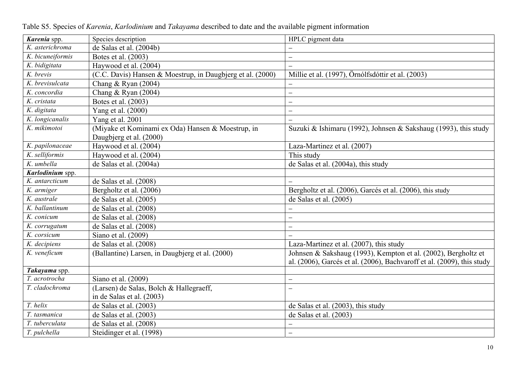| Karenia spp.     | Species description                                        | HPLC pigment data                                                      |
|------------------|------------------------------------------------------------|------------------------------------------------------------------------|
| K. asterichroma  | de Salas et al. (2004b)                                    |                                                                        |
| K. bicuneiformis | Botes et al. (2003)                                        | $\overline{\phantom{0}}$                                               |
| K. bidigitata    | Haywood et al. (2004)                                      | $\overline{\phantom{0}}$                                               |
| K. brevis        | (C.C. Davis) Hansen & Moestrup, in Daugbjerg et al. (2000) | Millie et al. (1997), Örnólfsdóttir et al. (2003)                      |
| K. brevisulcata  | Chang & Ryan $(2004)$                                      | $\overline{\phantom{0}}$                                               |
| K. concordia     | Chang & Ryan $(2004)$                                      | $\overline{\phantom{0}}$                                               |
| K. cristata      | Botes et al. (2003)                                        | —                                                                      |
| K. digitata      | Yang et al. (2000)                                         | $\overline{\phantom{0}}$                                               |
| K. longicanalis  | Yang et al. 2001                                           |                                                                        |
| K. mikimotoi     | (Miyake et Kominami ex Oda) Hansen & Moestrup, in          | Suzuki & Ishimaru (1992), Johnsen & Sakshaug (1993), this study        |
|                  | Daugbjerg et al. (2000)                                    |                                                                        |
| K. papilonaceae  | Haywood et al. (2004)                                      | Laza-Martinez et al. (2007)                                            |
| K. selliformis   | Haywood et al. (2004)                                      | This study                                                             |
| K. umbella       | de Salas et al. (2004a)                                    | de Salas et al. (2004a), this study                                    |
| Karlodinium spp. |                                                            |                                                                        |
| K. antarcticum   | de Salas et al. (2008)                                     | $\overline{\phantom{0}}$                                               |
| K. armiger       | Bergholtz et al. (2006)                                    | Bergholtz et al. (2006), Garcés et al. (2006), this study              |
| K. australe      | de Salas et al. (2005)                                     | de Salas et al. (2005)                                                 |
| K. ballantinum   | de Salas et al. $(2008)$                                   |                                                                        |
| K. conicum       | de Salas et al. (2008)                                     | —                                                                      |
| K. corrugatum    | de Salas et al. (2008)                                     | $\overline{\phantom{0}}$                                               |
| K. corsicum      | Siano et al. (2009)                                        |                                                                        |
| K. decipiens     | de Salas et al. (2008)                                     | Laza-Martinez et al. (2007), this study                                |
| K. veneficum     | (Ballantine) Larsen, in Daugbjerg et al. (2000)            | Johnsen & Sakshaug (1993), Kempton et al. (2002), Bergholtz et         |
|                  |                                                            | al. (2006), Garcés et al. (2006), Bachvaroff et al. (2009), this study |
| Takayama spp.    |                                                            |                                                                        |
| T. acrotrocha    | Siano et al. (2009)                                        | $\overline{\phantom{0}}$                                               |
| T. cladochroma   | (Larsen) de Salas, Bolch & Hallegraeff,                    | $\overline{\phantom{0}}$                                               |
|                  | in de Salas et al. (2003)                                  |                                                                        |
| T. helix         | de Salas et al. $(2003)$                                   | de Salas et al. (2003), this study                                     |
| T. tasmanica     | de Salas et al. $(2003)$                                   | de Salas et al. (2003)                                                 |
| T. tuberculata   | de Salas et al. (2008)                                     |                                                                        |
| T. pulchella     | Steidinger et al. (1998)                                   | $\overline{\phantom{0}}$                                               |

Table S5. Species of *Karenia*, *Karlodinium* and *Takayama* described to date and the available pigment information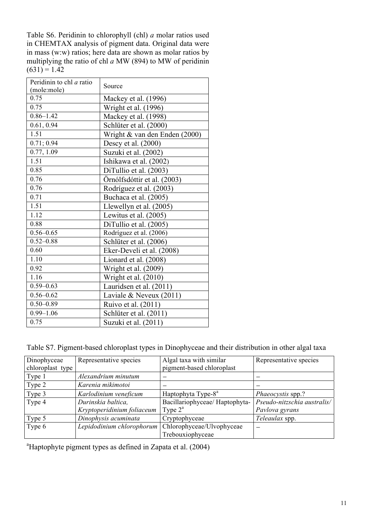Table S6. Peridinin to chlorophyll (chl) *a* molar ratios used in CHEMTAX analysis of pigment data. Original data were in mass (w:w) ratios; here data are shown as molar ratios by multiplying the ratio of chl *a* MW (894) to MW of peridinin  $(631) = 1.42$ 

| Peridinin to chl a ratio | Source                        |
|--------------------------|-------------------------------|
| (mole:mole)              |                               |
| 0.75                     | Mackey et al. (1996)          |
| 0.75                     | Wright et al. (1996)          |
| $0.86 - 1.42$            | Mackey et al. (1998)          |
| 0.61, 0.94               | Schlüter et al. (2000)        |
| 1.51                     | Wright & van den Enden (2000) |
| 0.71; 0.94               | Descy et al. (2000)           |
| 0.77, 1.09               | Suzuki et al. (2002)          |
| 1.51                     | Ishikawa et al. (2002)        |
| 0.85                     | DiTullio et al. (2003)        |
| 0.76                     | Örnólfsdóttir et al. (2003)   |
| 0.76                     | Rodríguez et al. (2003)       |
| 0.71                     | Buchaca et al. (2005)         |
| 1.51                     | Llewellyn et al. (2005)       |
| 1.12                     | Lewitus et al. (2005)         |
| 0.88                     | DiTullio et al. (2005)        |
| $0.56 - 0.65$            | Rodríguez et al. (2006)       |
| $0.52 - 0.88$            | Schlüter et al. (2006)        |
| 0.60                     | Eker-Develi et al. (2008)     |
| 1.10                     | Lionard et al. (2008)         |
| 0.92                     | Wright et al. (2009)          |
| 1.16                     | Wright et al. (2010)          |
| $0.59 - 0.63$            | Lauridsen et al. (2011)       |
| $0.56 - 0.62$            | Laviale & Neveux (2011)       |
| $0.50 - 0.89$            | Ruivo et al. (2011)           |
| $0.99 - 1.06$            | Schlüter et al. (2011)        |
| 0.75                     | Suzuki et al. (2011)          |

Table S7. Pigment-based chloroplast types in Dinophyceae and their distribution in other algal taxa

| Dinophyceae      | Representative species     | Algal taxa with similar        | Representative species      |
|------------------|----------------------------|--------------------------------|-----------------------------|
| chloroplast type |                            | pigment-based chloroplast      |                             |
| Type 1           | Alexandrium minutum        |                                |                             |
| Type 2           | Karenia mikimotoi          |                                |                             |
| Type 3           | Karlodinium veneficum      | Haptophyta Type-8 <sup>a</sup> | Phaeocystis spp.?           |
| Type 4           | Durinskia baltica,         | Bacillariophyceae/Haptophyta-  | Pseudo-nitzschia australis/ |
|                  | Kryptoperidinium foliaceum | Type $2^a$                     | Pavlova gyrans              |
| Type 5           | Dinophysis acuminata       | Cryptophyceae                  | Teleaulax spp.              |
| Type 6           | Lepidodinium chlorophorum  | Chlorophyceae/Ulvophyceae      |                             |
|                  |                            | Trebouxiophyceae               |                             |

<sup>a</sup>Haptophyte pigment types as defined in Zapata et al. (2004)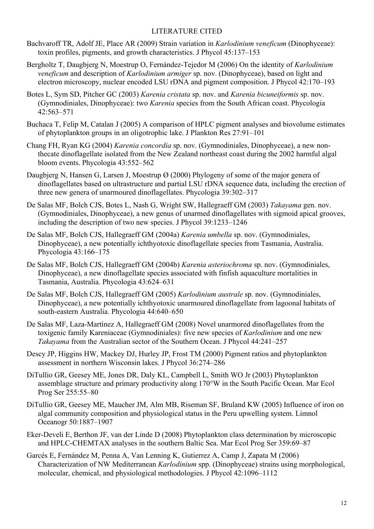## LITERATURE CITED

- Bachvaroff TR, Adolf JE, Place AR (2009) Strain variation in *Karlodinium veneficum* (Dinophyceae): toxin profiles, pigments, and growth characteristics. J Phycol 45:137–153
- Bergholtz T, Daugbjerg N, Moestrup O, Fernández-Tejedor M (2006) On the identity of *Karlodinium veneficum* and description of *Karlodinium armiger* sp. nov. (Dinophyceae), based on light and electron microscopy, nuclear encoded LSU rDNA and pigment composition. J Phycol 42:170–193
- Botes L, Sym SD, Pitcher GC (2003) *Karenia cristata* sp. nov. and *Karenia bicuneiformis* sp. nov. (Gymnodiniales, Dinophyceae): two *Karenia* species from the South African coast. Phycologia 42:563–571
- Buchaca T, Felip M, Catalan J (2005) A comparison of HPLC pigment analyses and biovolume estimates of phytoplankton groups in an oligotrophic lake. J Plankton Res 27:91–101
- Chang FH, Ryan KG (2004) *Karenia concordia* sp. nov. (Gymnodiniales, Dinophyceae), a new nonthecate dinoflagellate isolated from the New Zealand northeast coast during the 2002 harmful algal bloom events. Phycologia 43:552–562
- Daugbjerg N, Hansen G, Larsen J, Moestrup Ø (2000) Phylogeny of some of the major genera of dinoflagellates based on ultrastructure and partial LSU rDNA sequence data, including the erection of three new genera of unarmoured dinoflagellates. Phycologia 39:302–317
- De Salas MF, Bolch CJS, Botes L, Nash G, Wright SW, Hallegraeff GM (2003) *Takayama* gen. nov. (Gymnodiniales, Dinophyceae), a new genus of unarmed dinoflagellates with sigmoid apical grooves, including the description of two new species. J Phycol 39:1233–1246
- De Salas MF, Bolch CJS, Hallegraeff GM (2004a) *Karenia umbella* sp. nov. (Gymnodiniales, Dinophyceae), a new potentially ichthyotoxic dinoflagellate species from Tasmania, Australia. Phycologia 43:166–175
- De Salas MF, Bolch CJS, Hallegraeff GM (2004b) *Karenia asteriochroma* sp. nov. (Gymnodiniales, Dinophyceae), a new dinoflagellate species associated with finfish aquaculture mortalities in Tasmania, Australia. Phycologia 43:624–631
- De Salas MF, Bolch CJS, Hallegraeff GM (2005) *Karlodinium australe* sp. nov. (Gymnodiniales, Dinophyceae), a new potentially ichthyotoxic unarmoured dinoflagellate from lagoonal habitats of south-eastern Australia. Phycologia 44:640–650
- De Salas MF, Laza-Martínez A, Hallegraeff GM (2008) Novel unarmored dinoflagellates from the toxigenic family Kareniaceae (Gymnodiniales): five new species of *Karlodinium* and one new *Takayama* from the Australian sector of the Southern Ocean. J Phycol 44:241–257
- Descy JP, Higgins HW, Mackey DJ, Hurley JP, Frost TM (2000) Pigment ratios and phytoplankton assessment in northern Wisconsin lakes. J Phycol 36:274–286
- DiTullio GR, Geesey ME, Jones DR, Daly KL, Campbell L, Smith WO Jr (2003) Phytoplankton assemblage structure and primary productivity along 170°W in the South Pacific Ocean. Mar Ecol Prog Ser 255:55–80
- DiTullio GR, Geesey ME, Maucher JM, Alm MB, Riseman SF, Bruland KW (2005) Influence of iron on algal community composition and physiological status in the Peru upwelling system. Limnol Oceanogr 50:1887–1907
- Eker-Develi E, Berthon JF, van der Linde D (2008) Phytoplankton class determination by microscopic and HPLC-CHEMTAX analyses in the southern Baltic Sea. Mar Ecol Prog Ser 359:69–87
- Garcés E, Fernández M, Penna A, Van Lenning K, Gutierrez A, Camp J, Zapata M (2006) Characterization of NW Mediterranean *Karlodinium* spp. (Dinophyceae) strains using morphological, molecular, chemical, and physiological methodologies. J Phycol 42:1096–1112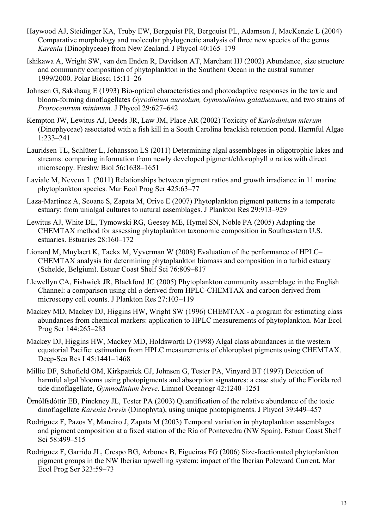- Haywood AJ, Steidinger KA, Truby EW, Bergquist PR, Bergquist PL, Adamson J, MacKenzie L (2004) Comparative morphology and molecular phylogenetic analysis of three new species of the genus *Karenia* (Dinophyceae) from New Zealand. J Phycol 40:165–179
- Ishikawa A, Wright SW, van den Enden R, Davidson AT, Marchant HJ (2002) Abundance, size structure and community composition of phytoplankton in the Southern Ocean in the austral summer 1999/2000. Polar Biosci 15:11–26
- Johnsen G, Sakshaug E (1993) Bio-optical characteristics and photoadaptive responses in the toxic and bloom-forming dinoflagellates *Gyrodinium aureolum, Gymnodinium galatheanum*, and two strains of *Prorocentrum minimum.* J Phycol 29:627–642
- Kempton JW, Lewitus AJ, Deeds JR, Law JM, Place AR (2002) Toxicity of *Karlodinium micrum* (Dinophyceae) associated with a fish kill in a South Carolina brackish retention pond. Harmful Algae 1:233–241
- Lauridsen TL, Schlüter L, Johansson LS (2011) Determining algal assemblages in oligotrophic lakes and streams: comparing information from newly developed pigment/chlorophyll *a* ratios with direct microscopy. Freshw Biol 56:1638–1651
- Laviale M, Neveux L (2011) Relationships between pigment ratios and growth irradiance in 11 marine phytoplankton species. Mar Ecol Prog Ser 425:63–77
- Laza-Martinez A, Seoane S, Zapata M, Orive E (2007) Phytoplankton pigment patterns in a temperate estuary: from unialgal cultures to natural assemblages. J Plankton Res 29:913–929
- Lewitus AJ, White DL, Tymowski RG, Geesey ME, Hymel SN, Noble PA (2005) Adapting the CHEMTAX method for assessing phytoplankton taxonomic composition in Southeastern U.S. estuaries. Estuaries 28:160–172
- Lionard M, Muylaert K, Tackx M, Vyverman W (2008) Evaluation of the performance of HPLC– CHEMTAX analysis for determining phytoplankton biomass and composition in a turbid estuary (Schelde, Belgium). Estuar Coast Shelf Sci 76:809–817
- Llewellyn CA, Fishwick JR, Blackford JC (2005) Phytoplankton community assemblage in the English Channel: a comparison using chl *a* derived from HPLC-CHEMTAX and carbon derived from microscopy cell counts. J Plankton Res 27:103–119
- Mackey MD, Mackey DJ, Higgins HW, Wright SW (1996) CHEMTAX a program for estimating class abundances from chemical markers: application to HPLC measurements of phytoplankton. Mar Ecol Prog Ser 144:265–283
- Mackey DJ, Higgins HW, Mackey MD, Holdsworth D (1998) Algal class abundances in the western equatorial Pacific: estimation from HPLC measurements of chloroplast pigments using CHEMTAX. Deep-Sea Res I 45:1441–1468
- Millie DF, Schofield OM, Kirkpatrick GJ, Johnsen G, Tester PA, Vinyard BT (1997) Detection of harmful algal blooms using photopigments and absorption signatures: a case study of the Florida red tide dinoflagellate, *Gymnodinium breve.* Limnol Oceanogr 42:1240–1251
- Örnólfsdóttir EB, Pinckney JL, Tester PA (2003) Quantification of the relative abundance of the toxic dinoflagellate *Karenia brevis* (Dinophyta), using unique photopigments. J Phycol 39:449–457
- Rodríguez F, Pazos Y, Maneiro J, Zapata M (2003) Temporal variation in phytoplankton assemblages and pigment composition at a fixed station of the Ría of Pontevedra (NW Spain). Estuar Coast Shelf Sci 58:499–515
- Rodríguez F, Garrido JL, Crespo BG, Arbones B, Figueiras FG (2006) Size-fractionated phytoplankton pigment groups in the NW Iberian upwelling system: impact of the Iberian Poleward Current. Mar Ecol Prog Ser 323:59–73